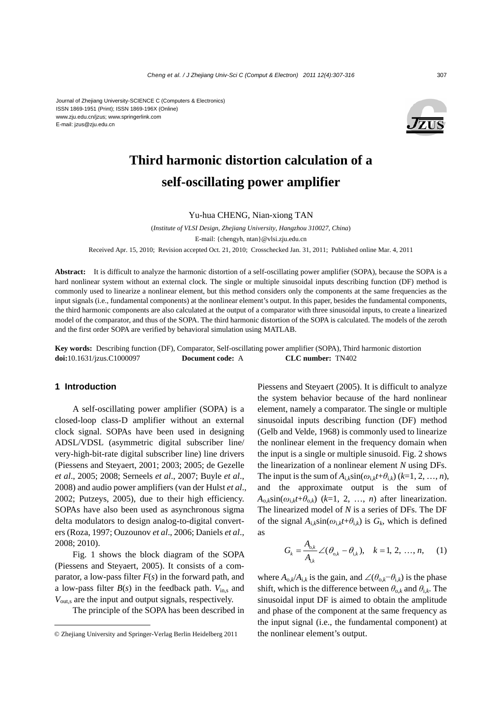

# **Third harmonic distortion calculation of a self-oscillating power amplifier**

Yu-hua CHENG, Nian-xiong TAN

(*Institute of VLSI Design, Zhejiang University, Hangzhou 310027, China*) E-mail: {chengyh, ntan}@vlsi.zju.edu.cn Received Apr. 15, 2010; Revision accepted Oct. 21, 2010; Crosschecked Jan. 31, 2011; Published online Mar. 4, 2011

**Abstract:** It is difficult to analyze the harmonic distortion of a self-oscillating power amplifier (SOPA), because the SOPA is a hard nonlinear system without an external clock. The single or multiple sinusoidal inputs describing function (DF) method is commonly used to linearize a nonlinear element, but this method considers only the components at the same frequencies as the input signals (i.e., fundamental components) at the nonlinear element's output. In this paper, besides the fundamental components, the third harmonic components are also calculated at the output of a comparator with three sinusoidal inputs, to create a linearized model of the comparator, and thus of the SOPA. The third harmonic distortion of the SOPA is calculated. The models of the zeroth and the first order SOPA are verified by behavioral simulation using MATLAB.

**Key words:** Describing function (DF), Comparator, Self-oscillating power amplifier (SOPA), Third harmonic distortion **doi:**10.1631/jzus.C1000097 **Document code:** A **CLC number:** TN402

#### **1 Introduction**

A self-oscillating power amplifier (SOPA) is a closed-loop class-D amplifier without an external clock signal. SOPAs have been used in designing ADSL/VDSL (asymmetric digital subscriber line/ very-high-bit-rate digital subscriber line) line drivers (Piessens and Steyaert, 2001; 2003; 2005; de Gezelle *et al*., 2005; 2008; Serneels *et al*., 2007; Buyle *et al*., 2008) and audio power amplifiers (van der Hulst *et al*., 2002; Putzeys, 2005), due to their high efficiency. SOPAs have also been used as asynchronous sigma delta modulators to design analog-to-digital converters (Roza, 1997; Ouzounov *et al*., 2006; Daniels *et al*., 2008; 2010).

Fig. 1 shows the block diagram of the SOPA (Piessens and Steyaert, 2005). It consists of a comparator, a low-pass filter  $F(s)$  in the forward path, and a low-pass filter  $B(s)$  in the feedback path.  $V_{\text{in},s}$  and  $V_{\text{out,s}}$  are the input and output signals, respectively.

The principle of the SOPA has been described in

Piessens and Steyaert (2005). It is difficult to analyze the system behavior because of the hard nonlinear element, namely a comparator. The single or multiple sinusoidal inputs describing function (DF) method (Gelb and Velde, 1968) is commonly used to linearize the nonlinear element in the frequency domain when the input is a single or multiple sinusoid. Fig. 2 shows the linearization of a nonlinear element *N* using DFs. The input is the sum of  $A_{i,k}$ sin( $\omega_{i,k}$  $t+\theta_{i,k}$ ) ( $k=1, 2, ..., n$ ), and the approximate output is the sum of  $A_{0,k}$ sin( $\omega_{i,k}t+\theta_{0,k}$ ) ( $k=1, 2, ..., n$ ) after linearization. The linearized model of *N* is a series of DFs. The DF of the signal  $A_{i,k}$ sin( $\omega_{i,k}t+\theta_{i,k}$ ) is  $G_k$ , which is defined as

$$
G_k = \frac{A_{o,k}}{A_{i,k}} \angle (\theta_{o,k} - \theta_{i,k}), \quad k = 1, 2, ..., n, \quad (1)
$$

where  $A_{0,k}/A_{i,k}$  is the gain, and ∠( $\theta_{0,k}$ − $\theta_{i,k}$ ) is the phase shift, which is the difference between  $\theta_{0,k}$  and  $\theta_{i,k}$ . The sinusoidal input DF is aimed to obtain the amplitude and phase of the component at the same frequency as the input signal (i.e., the fundamental component) at the nonlinear element's output.

<sup>©</sup> Zhejiang University and Springer-Verlag Berlin Heidelberg 2011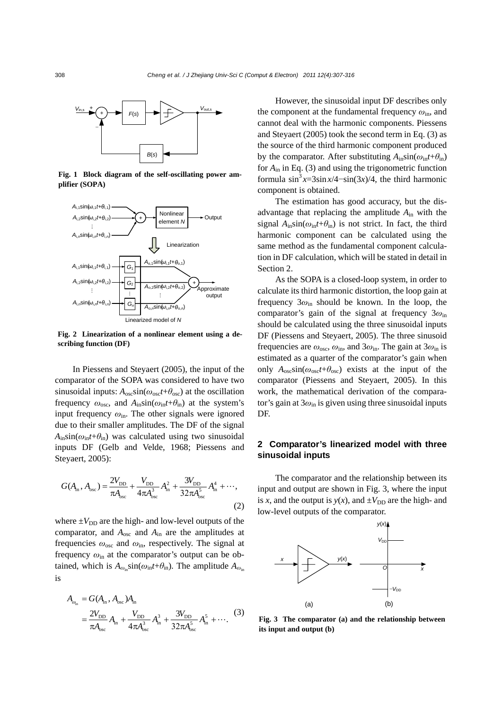

**Fig. 1 Block diagram of the self-oscillating power amplifier (SOPA)** 



**Fig. 2 Linearization of a nonlinear element using a describing function (DF)** 

In Piessens and Steyaert (2005), the input of the comparator of the SOPA was considered to have two sinusoidal inputs:  $A_{\text{osc}}\sin(\omega_{\text{osc}}t+\theta_{\text{osc}})$  at the oscillation frequency  $\omega_{\rm osc}$ , and  $A_{\rm in} \sin(\omega_{\rm in} t + \theta_{\rm in})$  at the system's input frequency  $\omega_{\rm in}$ . The other signals were ignored due to their smaller amplitudes. The DF of the signal  $A_{\text{in}}\sin(\omega_{\text{in}}t+\theta_{\text{in}})$  was calculated using two sinusoidal inputs DF (Gelb and Velde, 1968; Piessens and Steyaert, 2005):

$$
G(A_{\text{in}}, A_{\text{osc}}) = \frac{2V_{\text{DD}}}{\pi A_{\text{osc}}} + \frac{V_{\text{DD}}}{4\pi A_{\text{osc}}^3} A_{\text{in}}^2 + \frac{3V_{\text{DD}}}{32\pi A_{\text{osc}}^5} A_{\text{in}}^4 + \cdots,
$$
\n(2)

where  $\pm V_{\text{DD}}$  are the high- and low-level outputs of the comparator, and *A*osc and *A*in are the amplitudes at frequencies *ω*osc and *ω*in, respectively. The signal at frequency *ω*in at the comparator's output can be obtained, which is  $A_{\omega_{in}}\sin(\omega_{in}t+\theta_{in})$ . The amplitude  $A_{\omega_{in}}$ is

$$
A_{\omega_{\rm in}} = G(A_{\rm in}, A_{\rm osc})A_{\rm in}
$$
  
=  $\frac{2V_{\rm DD}}{\pi A_{\rm osc}} A_{\rm in} + \frac{V_{\rm DD}}{4\pi A_{\rm osc}^3} A_{\rm in}^3 + \frac{3V_{\rm DD}}{32\pi A_{\rm osc}^5} A_{\rm in}^5 + \cdots$  (3)

However, the sinusoidal input DF describes only the component at the fundamental frequency *ω*in, and cannot deal with the harmonic components. Piessens and Steyaert (2005) took the second term in Eq. (3) as the source of the third harmonic component produced by the comparator. After substituting  $A_{in} \sin(\omega_{in} t + \theta_{in})$ for *A*in in Eq. (3) and using the trigonometric function formula  $\sin^3 x = 3\sin x/4 - \sin(3x)/4$ , the third harmonic component is obtained.

The estimation has good accuracy, but the disadvantage that replacing the amplitude *A*in with the signal  $A_{\text{in}}\sin(\omega_{\text{in}}t+\theta_{\text{in}})$  is not strict. In fact, the third harmonic component can be calculated using the same method as the fundamental component calculation in DF calculation, which will be stated in detail in Section 2.

As the SOPA is a closed-loop system, in order to calculate its third harmonic distortion, the loop gain at frequency  $3\omega_{\rm in}$  should be known. In the loop, the comparator's gain of the signal at frequency 3*ω*in should be calculated using the three sinusoidal inputs DF (Piessens and Steyaert, 2005). The three sinusoid frequencies are  $\omega_{\rm osc}$ ,  $\omega_{\rm in}$ , and  $3\omega_{\rm in}$ . The gain at  $3\omega_{\rm in}$  is estimated as a quarter of the comparator's gain when only  $A_{osc} \sin(\omega_{osc} t + \theta_{osc})$  exists at the input of the comparator (Piessens and Steyaert, 2005). In this work, the mathematical derivation of the comparator's gain at 3*ω*in is given using three sinusoidal inputs DF.

## **2 Comparator's linearized model with three sinusoidal inputs**

The comparator and the relationship between its input and output are shown in Fig. 3, where the input is *x*, and the output is  $y(x)$ , and  $\pm V_{DD}$  are the high- and low-level outputs of the comparator.



**Fig. 3 The comparator (a) and the relationship between its input and output (b)**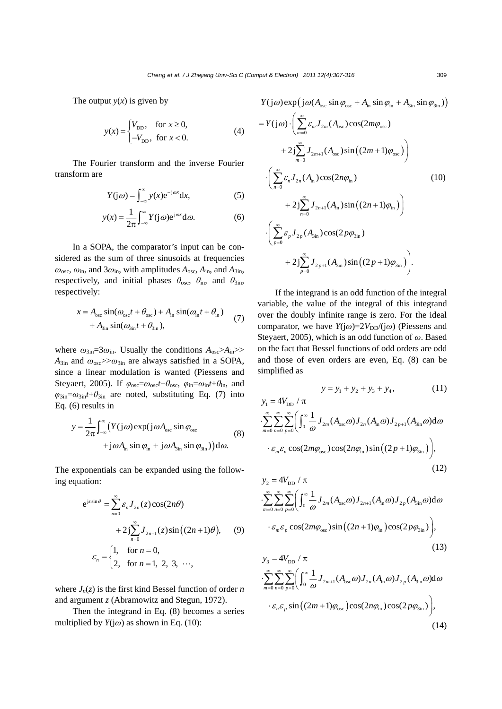The output  $y(x)$  is given by

$$
y(x) = \begin{cases} V_{\text{DD}}, & \text{for } x \ge 0, \\ -V_{\text{DD}}, & \text{for } x < 0. \end{cases}
$$
 (4)

The Fourier transform and the inverse Fourier transform are

$$
Y(j\omega) = \int_{-\infty}^{\infty} y(x)e^{-j\omega x} dx,
$$
 (5)

$$
y(x) = \frac{1}{2\pi} \int_{-\infty}^{\infty} Y(j\omega) e^{j\omega x} d\omega.
$$
 (6)

In a SOPA, the comparator's input can be considered as the sum of three sinusoids at frequencies  $\omega_{\rm osc}$ ,  $\omega_{\rm in}$ , and  $3\omega_{\rm in}$ , with amplitudes  $A_{\rm osc}$ ,  $A_{\rm in}$ , and  $A_{\rm 3in}$ , respectively, and initial phases  $\theta_{\rm osc}$ ,  $\theta_{\rm in}$ , and  $\theta_{\rm 3in}$ , respectively:

$$
x = A_{\text{osc}} \sin(\omega_{\text{osc}} t + \theta_{\text{osc}}) + A_{\text{in}} \sin(\omega_{\text{in}} t + \theta_{\text{in}})
$$
  
+  $A_{\text{sin}} \sin(\omega_{\text{sin}} t + \theta_{\text{sin}})$ , (7)

where  $\omega_{3\text{in}}=3\omega_{\text{in}}$ . Usually the conditions  $A_{\text{osc}} > A_{\text{in}} >$  $A_{3in}$  and  $\omega_{osc} \gg \omega_{3in}$  are always satisfied in a SOPA, since a linear modulation is wanted (Piessens and Steyaert, 2005). If  $\varphi_{osc} = \omega_{osc}t + \theta_{osc}$ ,  $\varphi_{in} = \omega_{in}t + \theta_{in}$ , and  $\varphi_{3in} = \omega_{3in}t + \theta_{3in}$  are noted, substituting Eq. (7) into Eq. (6) results in

$$
y = \frac{1}{2\pi} \int_{-\infty}^{\infty} \left( Y(j\omega) \exp(j\omega A_{osc} \sin \varphi_{osc} + j\omega A_{in} \sin \varphi_{in} + j\omega A_{sin} \sin \varphi_{sin} \right) d\omega.
$$
 (8)

The exponentials can be expanded using the following equation:

$$
e^{j\sin\theta} = \sum_{n=0}^{\infty} \varepsilon_n J_{2n}(z) \cos(2n\theta)
$$
  
+ 
$$
2j \sum_{n=0}^{\infty} J_{2n+1}(z) \sin((2n+1)\theta), \qquad (9)
$$
  

$$
\varepsilon_n = \begin{cases} 1, & \text{for } n = 0, \\ 2, & \text{for } n = 1, 2, 3, \cdots, \end{cases}
$$

where  $J_n(z)$  is the first kind Bessel function of order *n* and argument *z* (Abramowitz and Stegun, 1972).

Then the integrand in Eq. (8) becomes a series multiplied by  $Y(j\omega)$  as shown in Eq. (10):

 $Y(j\omega) \exp(j\omega(A_{osc} \sin \varphi_{osc} + A_{in} \sin \varphi_{in} + A_{3in} \sin \varphi_{3in}))$ 

$$
= Y(j\omega) \cdot \left( \sum_{m=0}^{\infty} \mathcal{E}_m J_{2m}(A_{osc}) \cos(2m\varphi_{osc}) + 2j \sum_{m=0}^{\infty} J_{2m+1}(A_{osc}) \sin((2m+1)\varphi_{osc}) \right) + 2j \sum_{n=0}^{\infty} \mathcal{E}_n J_{2n}(A_{in}) \cos(2n\varphi_{in}) + 2j \sum_{n=0}^{\infty} J_{2n+1}(A_{in}) \sin((2n+1)\varphi_{in}) \right) + 2j \sum_{p=0}^{\infty} \mathcal{E}_p J_{2p}(A_{3in}) \cos(2p\varphi_{3in}) + 2j \sum_{p=0}^{\infty} J_{2p+1}(A_{3in}) \sin((2p+1)\varphi_{3in}) \bigg).
$$
 (10)

If the integrand is an odd function of the integral variable, the value of the integral of this integrand over the doubly infinite range is zero. For the ideal comparator, we have  $Y(j\omega)=2V_{DD}/(j\omega)$  (Piessens and Steyaert, 2005), which is an odd function of *ω*. Based on the fact that Bessel functions of odd orders are odd and those of even orders are even, Eq. (8) can be simplified as

$$
y = y_1 + y_2 + y_3 + y_4, \tag{11}
$$

$$
y_1 = 4V_{\text{DD}} / \pi
$$
  
\n
$$
\sum_{m=0}^{\infty} \sum_{n=0}^{\infty} \sum_{p=0}^{\infty} \left( \int_0^{\infty} \frac{1}{\omega} J_{2m}(A_{\text{osc}} \omega) J_{2n}(A_{\text{in}} \omega) J_{2p+1}(A_{\text{sin}} \omega) d\omega \right)
$$
  
\n
$$
\cdot \varepsilon_m \varepsilon_n \cos(2m\phi_{\text{osc}}) \cos(2n\phi_{\text{in}}) \sin((2p+1)\phi_{\text{sin}}) \right),
$$
\n(12)

$$
y_2 = 4V_{\text{DD}} / \pi
$$
  
\n
$$
\sum_{m=0}^{\infty} \sum_{n=0}^{\infty} \sum_{p=0}^{\infty} \left( \int_0^{\infty} \frac{1}{\omega} J_{2m} (A_{\text{osc}} \omega) J_{2n+1} (A_{\text{in}} \omega) J_{2p} (A_{\text{sin}} \omega) d\omega
$$
  
\n
$$
\cdot \varepsilon_m \varepsilon_p \cos(2m\varphi_{\text{osc}}) \sin((2n+1)\varphi_{\text{in}}) \cos(2p\varphi_{\text{sin}}) \right),
$$
\n(13)

$$
y_3 = 4V_{\text{DD}} / \pi
$$
  
\n
$$
\sum_{m=0}^{\infty} \sum_{n=0}^{\infty} \sum_{p=0}^{\infty} \left( \int_0^{\infty} \frac{1}{\omega} J_{2m+1}(A_{\text{osc}} \omega) J_{2n}(A_{\text{in}} \omega) J_{2p}(A_{\text{sin}} \omega) d\omega
$$
  
\n
$$
\cdot \varepsilon_n \varepsilon_p \sin \left( (2m+1)\varphi_{\text{osc}} \right) \cos(2n\varphi_{\text{in}}) \cos(2p\varphi_{\text{sin}}) \right),
$$
\n(14)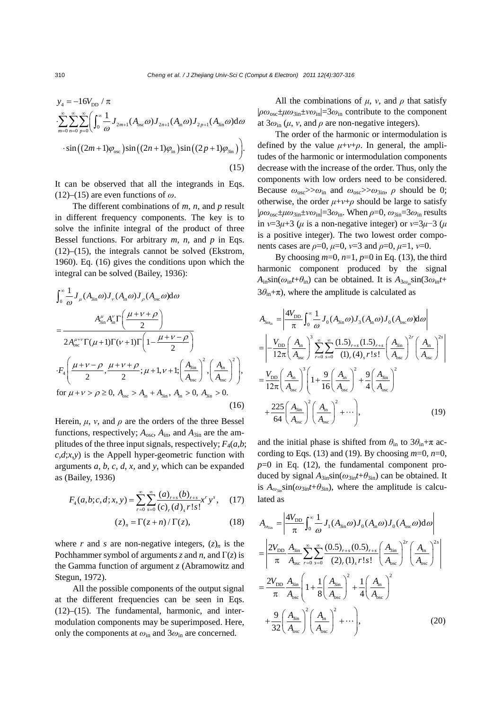$$
y_{4} = -16V_{\text{DD}} / \pi
$$
  
\n
$$
\sum_{m=0}^{\infty} \sum_{n=0}^{\infty} \sum_{p=0}^{\infty} \left( \int_{0}^{\infty} \frac{1}{\omega} J_{2m+1}(A_{\text{osc}} \omega) J_{2n+1}(A_{\text{in}} \omega) J_{2p+1}(A_{\text{sin}} \omega) d\omega
$$
  
\n
$$
\cdot \sin \left( (2m+1)\varphi_{\text{osc}} \right) \sin \left( (2n+1)\varphi_{\text{in}} \right) \sin \left( (2p+1)\varphi_{\text{sin}} \right) \right).
$$
\n(15)

It can be observed that all the integrands in Eqs. (12)–(15) are even functions of  $\omega$ .

The different combinations of *m*, *n*, and *p* result in different frequency components. The key is to solve the infinite integral of the product of three Bessel functions. For arbitrary *m*, *n*, and *p* in Eqs. (12)–(15), the integrals cannot be solved (Ekstrom, 1960). Eq. (16) gives the conditions upon which the integral can be solved (Bailey, 1936):

$$
\int_{0}^{\infty} \frac{1}{\omega} J_{\mu} (A_{\sin} \omega) J_{\nu} (A_{\text{in}} \omega) J_{\rho} (A_{\text{osc}} \omega) d\omega
$$
\n
$$
= \frac{A_{\sin}^{\mu} A_{\text{in}}^{\nu} \Gamma \left( \frac{\mu + \nu + \rho}{2} \right)}{2 A_{\text{osc}}^{\mu + \nu} \Gamma(\mu + 1) \Gamma(\nu + 1) \Gamma \left( 1 - \frac{\mu + \nu - \rho}{2} \right)}
$$
\n
$$
\cdot F_{4} \left( \frac{\mu + \nu - \rho}{2}, \frac{\mu + \nu + \rho}{2}; \mu + 1, \nu + 1; \left( \frac{A_{\sin}}{A_{\text{osc}}} \right)^{2}, \left( \frac{A_{\text{in}}}{A_{\text{osc}}} \right)^{2} \right),
$$
\nfor  $\mu + \nu > \rho \ge 0$ ,  $A_{\text{osc}} > A_{\text{in}} + A_{\text{sin}}$ ,  $A_{\text{in}} > 0$ ,  $A_{\text{sin}} > 0$ . (16)

Herein,  $\mu$ ,  $\nu$ , and  $\rho$  are the orders of the three Bessel functions, respectively;  $A_{\text{osc}}$ ,  $A_{\text{in}}$ , and  $A_{\text{3in}}$  are the amplitudes of the three input signals, respectively;  $F_4(a,b;$  $c, d, x, y$  is the Appell hyper-geometric function with arguments *a*, *b*, *c*, *d*, *x*, and *y*, which can be expanded as (Bailey, 1936)

$$
F_4(a,b;c,d;x,y) = \sum_{r=0}^{\infty} \sum_{s=0}^{\infty} \frac{(a)_{r+s}(b)_{r+s}}{(c)_r (d)_s r! s!} x^r y^s, \quad (17)
$$

$$
(z)_n = \Gamma(z+n) / \Gamma(z), \tag{18}
$$

where *r* and *s* are non-negative integers,  $(z)_n$  is the Pochhammer symbol of arguments *z* and *n*, and  $\Gamma(z)$  is the Gamma function of argument *z* (Abramowitz and Stegun, 1972).

All the possible components of the output signal at the different frequencies can be seen in Eqs. (12)–(15). The fundamental, harmonic, and intermodulation components may be superimposed. Here, only the components at *ω*in and 3*ω*in are concerned.

All the combinations of  $\mu$ ,  $\nu$ , and  $\rho$  that satisfy |*ρω*osc±*μω*3in±*νω*in|=3*ω*in contribute to the component at  $3\omega_{\rm in}$  ( $\mu$ ,  $\nu$ , and  $\rho$  are non-negative integers).

The order of the harmonic or intermodulation is defined by the value  $\mu + \nu + \rho$ . In general, the amplitudes of the harmonic or intermodulation components decrease with the increase of the order. Thus, only the components with low orders need to be considered. Because  $\omega_{\rm osc}$ > $\omega_{\rm in}$  and  $\omega_{\rm osc}$ > $\omega_{\rm 3in}$ ,  $\rho$  should be 0; otherwise, the order  $\mu + \nu + \rho$  should be large to satisfy  $|\rho\omega_{\text{osc}}\pm\mu\omega_{3\text{in}}\pm\nu\omega_{\text{in}}| = 3\omega_{\text{in}}$ . When  $\rho=0$ ,  $\omega_{3\text{in}}=3\omega_{\text{in}}$  results in  $v=3\mu+3$  ( $\mu$  is a non-negative integer) or  $v=3\mu-3$  ( $\mu$ is a positive integer). The two lowest order components cases are *ρ*=0, *μ*=0, *ν*=3 and *ρ*=0, *μ*=1, *ν*=0.

By choosing  $m=0$ ,  $n=1$ ,  $p=0$  in Eq. (13), the third harmonic component produced by the signal  $A_{in} \sin(\omega_{in} t + \theta_{in})$  can be obtained. It is  $A_{3\omega_{in}} \sin(3\omega_{in} t +$  $3\theta_{\rm in}+\pi$ ), where the amplitude is calculated as

$$
A_{3\omega_{\rm in}} = \left| \frac{4V_{\rm DD}}{\pi} \int_0^\infty \frac{1}{\omega} J_0(A_{3\rm in}\omega) J_3(A_{\rm in}\omega) J_0(A_{\rm osc}\omega) d\omega \right|
$$
  
\n
$$
= \left| -\frac{V_{\rm DD}}{12\pi} \left( \frac{A_{\rm in}}{A_{\rm osc}} \right)^3 \sum_{r=0}^\infty \sum_{s=0}^\infty \frac{(1.5)_{r+s} (1.5)_{r+s}}{(1)_r (4)_s r! s!} \left( \frac{A_{\rm in}}{A_{\rm osc}} \right)^2' \left( \frac{A_{\rm in}}{A_{\rm osc}} \right)^2 \right|
$$
  
\n
$$
= \frac{V_{\rm DD}}{12\pi} \left( \frac{A_{\rm in}}{A_{\rm osc}} \right)^3 \left( 1 + \frac{9}{16} \left( \frac{A_{\rm in}}{A_{\rm osc}} \right)^2 + \frac{9}{4} \left( \frac{A_{\rm in}}{A_{\rm osc}} \right)^2
$$
  
\n
$$
+ \frac{225}{64} \left( \frac{A_{\rm in}}{A_{\rm osc}} \right)^2 \left( \frac{A_{\rm in}}{A_{\rm osc}} \right)^2 + \cdots \right), \tag{19}
$$

and the initial phase is shifted from  $\theta_{\rm in}$  to  $3\theta_{\rm in}+\pi$  according to Eqs. (13) and (19). By choosing  $m=0$ ,  $n=0$ ,  $p=0$  in Eq. (12), the fundamental component produced by signal  $A_{3in} \sin(\omega_{3in} t + \theta_{3in})$  can be obtained. It is  $A_{\omega_{3i}}\sin(\omega_{3i}t+\theta_{3i})$ , where the amplitude is calculated as

$$
A_{\omega_{\sin}} = \left| \frac{4V_{\text{DD}}}{\pi} \int_0^{\infty} \frac{1}{\omega} J_1(A_{\sin}\omega) J_0(A_{\text{in}}\omega) J_0(A_{\text{osc}}\omega) d\omega \right|
$$
  
\n
$$
= \left| \frac{2V_{\text{DD}}}{\pi} \frac{A_{\sin}}{A_{\text{osc}}} \sum_{r=0}^{\infty} \sum_{s=0}^{\infty} \frac{(0.5)_{r+s} (0.5)_{r+s}}{(2)_r (1)_s r! s!} \left( \frac{A_{\sin}}{A_{\text{osc}}} \right)^{2r} \left( \frac{A_{\text{in}}}{A_{\text{osc}}} \right)^{2s} \right|
$$
  
\n
$$
= \frac{2V_{\text{DD}}}{\pi} \frac{A_{\sin}}{A_{\text{osc}}} \left( 1 + \frac{1}{8} \left( \frac{A_{\sin}}{A_{\text{osc}}} \right)^2 + \frac{1}{4} \left( \frac{A_{\text{in}}}{A_{\text{osc}}} \right)^2
$$
  
\n
$$
+ \frac{9}{32} \left( \frac{A_{\sin}}{A_{\text{osc}}} \right)^2 \left( \frac{A_{\text{in}}}{A_{\text{osc}}} \right)^2 + \cdots \right), \tag{20}
$$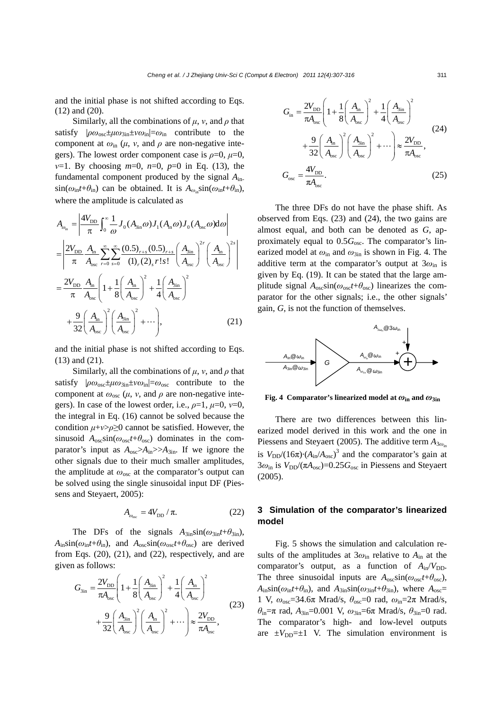and the initial phase is not shifted according to Eqs. (12) and (20).

Similarly, all the combinations of  $\mu$ ,  $\nu$ , and  $\rho$  that satisfy |*ρω*osc±*μω*3in±*νω*in|=*ω*in contribute to the component at  $\omega_{\text{in}}$  ( $\mu$ ,  $\nu$ , and  $\rho$  are non-negative integers). The lowest order component case is  $\rho=0$ ,  $\mu=0$ , *ν*=1. By choosing *m*=0, *n*=0, *p*=0 in Eq. (13), the fundamental component produced by the signal *A*in- $\sin(\omega_{\text{in}}t+\theta_{\text{in}})$  can be obtained. It is  $A_{\omega_{\text{in}}} \sin(\omega_{\text{in}}t+\theta_{\text{in}})$ , where the amplitude is calculated as

$$
A_{\omega_{\rm in}} = \left| \frac{4V_{\rm DD}}{\pi} \int_0^\infty \frac{1}{\omega} J_0(A_{\rm sin}\omega) J_1(A_{\rm in}\omega) J_0(A_{\rm osc}\omega) d\omega \right|
$$
  
\n
$$
= \left| \frac{2V_{\rm DD}}{\pi} \frac{A_{\rm in}}{A_{\rm osc}} \sum_{r=0}^\infty \sum_{s=0}^\infty \frac{(0.5)_{r+s} (0.5)_{r+s}}{(1)_r (2)_s r! s!} \left( \frac{A_{\rm sin}}{A_{\rm osc}} \right)^{2r} \left( \frac{A_{\rm in}}{A_{\rm osc}} \right)^{2s} \right|
$$
  
\n
$$
= \frac{2V_{\rm DD}}{\pi} \frac{A_{\rm in}}{A_{\rm osc}} \left( 1 + \frac{1}{8} \left( \frac{A_{\rm in}}{A_{\rm osc}} \right)^2 + \frac{1}{4} \left( \frac{A_{\rm sin}}{A_{\rm osc}} \right)^2
$$
  
\n
$$
+ \frac{9}{32} \left( \frac{A_{\rm in}}{A_{\rm osc}} \right)^2 \left( \frac{A_{\rm sin}}{A_{\rm osc}} \right)^2 + \cdots \right), \tag{21}
$$

and the initial phase is not shifted according to Eqs. (13) and (21).

Similarly, all the combinations of  $\mu$ ,  $\nu$ , and  $\rho$  that satisfy |*ρω*osc±*μω*3in±*νω*in|=*ω*osc contribute to the component at  $\omega_{\rm osc}$  ( $\mu$ ,  $\nu$ , and  $\rho$  are non-negative integers). In case of the lowest order, i.e.,  $\rho=1$ ,  $\mu=0$ ,  $\nu=0$ , the integral in Eq. (16) cannot be solved because the condition *μ*+*ν*>*ρ*≥0 cannot be satisfied. However, the sinusoid  $A_{\text{osc}}\sin(\omega_{\text{osc}}t+\theta_{\text{osc}})$  dominates in the comparator's input as  $A_{osc} > A_{in} > A_{3in}$ . If we ignore the other signals due to their much smaller amplitudes, the amplitude at *ω*osc at the comparator's output can be solved using the single sinusoidal input DF (Piessens and Steyaert, 2005):

$$
A_{\omega_{\rm osc}} = 4V_{\rm DD} / \pi. \tag{22}
$$

The DFs of the signals  $A_{3in} \sin(\omega_{3in} t + \theta_{3in})$ ,  $A_{in} \sin(\omega_{in}t + \theta_{in})$ , and  $A_{osc} \sin(\omega_{osc}t + \theta_{osc})$  are derived from Eqs.  $(20)$ ,  $(21)$ , and  $(22)$ , respectively, and are given as follows:

$$
G_{\rm 3in} = \frac{2V_{\rm DD}}{\pi A_{\rm osc}} \left( 1 + \frac{1}{8} \left( \frac{A_{\rm 3in}}{A_{\rm osc}} \right)^2 + \frac{1}{4} \left( \frac{A_{\rm in}}{A_{\rm osc}} \right)^2 + \frac{9}{32} \left( \frac{A_{\rm 3in}}{A_{\rm osc}} \right)^2 \left( \frac{A_{\rm in}}{A_{\rm osc}} \right)^2 + \cdots \right) \approx \frac{2V_{\rm DD}}{\pi A_{\rm osc}},
$$
\n(23)

$$
G_{\text{in}} = \frac{2V_{\text{DD}}}{\pi A_{\text{osc}}} \left( 1 + \frac{1}{8} \left( \frac{A_{\text{in}}}{A_{\text{osc}}} \right)^2 + \frac{1}{4} \left( \frac{A_{\text{sin}}}{A_{\text{osc}}} \right)^2 + \frac{9}{32} \left( \frac{A_{\text{in}}}{A_{\text{osc}}} \right)^2 \left( \frac{A_{\text{sin}}}{A_{\text{osc}}} \right)^2 + \cdots \right) \approx \frac{2V_{\text{DD}}}{\pi A_{\text{osc}}},
$$
\n
$$
G_{\text{osc}} = \frac{4V_{\text{DD}}}{\pi A_{\text{osc}}}.
$$
\n(25)

The three DFs do not have the phase shift. As observed from Eqs. (23) and (24), the two gains are almost equal, and both can be denoted as *G*, approximately equal to  $0.5G_{\text{osc}}$ . The comparator's linearized model at *ω*in and *ω*3in is shown in Fig. 4. The additive term at the comparator's output at  $3\omega_{\rm in}$  is given by Eq. (19). It can be stated that the large amplitude signal  $A_{\text{osc}}\sin(\omega_{\text{osc}}t+\theta_{\text{osc}})$  linearizes the comparator for the other signals; i.e., the other signals' gain, *G*, is not the function of themselves.



**Fig. 4 Comparator's linearized model at**  $\omega_{\text{in}}$  **and**  $\omega_{\text{3in}}$ 

There are two differences between this linearized model derived in this work and the one in Piessens and Steyaert (2005). The additive term  $A_{3\omega}$ is  $V_{DD}/(16\pi) \cdot (A_{in}/A_{osc})^3$  and the comparator's gain at  $3\omega_{\text{in}}$  is  $V_{\text{DD}}/(\pi A_{\text{osc}})=0.25G_{\text{osc}}$  in Piessens and Steyaert (2005).

## **3 Simulation of the comparator's linearized model**

Fig. 5 shows the simulation and calculation results of the amplitudes at  $3\omega_{\rm in}$  relative to  $A_{\rm in}$  at the comparator's output, as a function of  $A_{in}/V_{DD}$ . The three sinusoidal inputs are  $A_{\text{osc}}\sin(\omega_{\text{osc}}t+\theta_{\text{osc}})$ ,  $A_{in}$ sin( $\omega_{in}t+\theta_{in}$ ), and  $A_{3in}$ sin( $\omega_{3in}t+\theta_{3in}$ ), where  $A_{osc}$ = 1 V, *ω*osc=34.6π Mrad/s, *θ*osc=0 rad, *ω*in=2π Mrad/s, *θ*in=π rad, *A*3in=0.001 V, *ω*3in=6π Mrad/s, *θ*3in=0 rad. The comparator's high- and low-level outputs are  $\pm V_{\text{DD}}=\pm 1$  V. The simulation environment is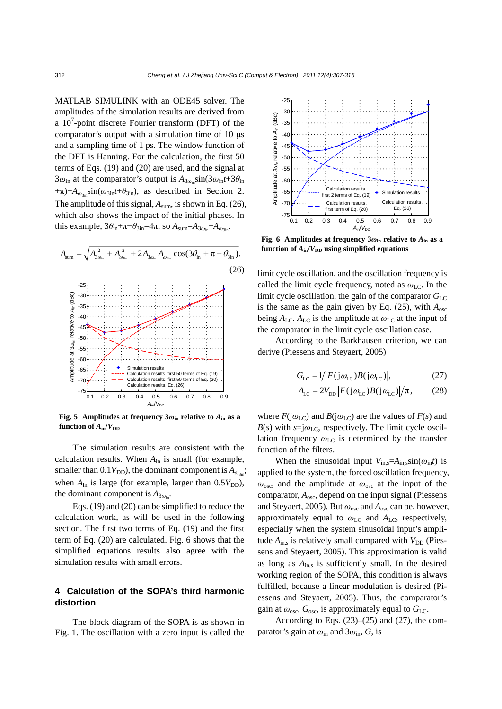MATLAB SIMULINK with an ODE45 solver. The amplitudes of the simulation results are derived from a  $10<sup>7</sup>$ -point discrete Fourier transform (DFT) of the comparator's output with a simulation time of 10 μs and a sampling time of 1 ps. The window function of the DFT is Hanning. For the calculation, the first 50 terms of Eqs. (19) and (20) are used, and the signal at  $3\omega_{\text{in}}$  at the comparator's output is  $A_{3\omega_{\text{in}}} \sin(3\omega_{\text{in}}t+3\theta_{\text{in}})$  $+\pi$ )+ $A_{\omega_{3in}}\sin(\omega_{3in}t+\theta_{3in})$ , as described in Section 2. The amplitude of this signal,  $A_{sum}$ , is shown in Eq. (26), which also shows the impact of the initial phases. In this example,  $3\theta_{\text{in}}+\pi-\theta_{3\text{in}}=4\pi$ , so  $A_{\text{sum}}=A_{3\omega_{\text{in}}}+A_{\omega_{3\text{in}}}$ .



**Fig. 5** Amplitudes at frequency  $3\omega_{\text{in}}$  relative to  $A_{\text{in}}$  as a **function of**  $A_{in}/V_{DD}$ 

The simulation results are consistent with the calculation results. When *A*in is small (for example, smaller than 0.1*V*<sub>DD</sub>), the dominant component is  $A_{\omega_{3i}i}$ ; when  $A_{\text{in}}$  is large (for example, larger than  $0.5V_{\text{DD}}$ ), the dominant component is  $A_{3\omega}$ .

Eqs. (19) and (20) can be simplified to reduce the calculation work, as will be used in the following section. The first two terms of Eq. (19) and the first term of Eq. (20) are calculated. Fig. 6 shows that the simplified equations results also agree with the simulation results with small errors.

## **4 Calculation of the SOPA's third harmonic distortion**

The block diagram of the SOPA is as shown in Fig. 1. The oscillation with a zero input is called the



**Fig. 6 Amplitudes at frequency 3***ω***in relative to** *A***in as a function of**  $A_{in}/V_{DD}$  **using simplified equations** 

limit cycle oscillation, and the oscillation frequency is called the limit cycle frequency, noted as  $ω$ <sub>LC</sub>. In the limit cycle oscillation, the gain of the comparator  $G_{\text{LC}}$ is the same as the gain given by Eq.  $(25)$ , with  $A_{osc}$ being  $A_{\text{LC}}$ .  $A_{\text{LC}}$  is the amplitude at  $\omega_{\text{LC}}$  at the input of the comparator in the limit cycle oscillation case.

According to the Barkhausen criterion, we can derive (Piessens and Steyaert, 2005)

$$
G_{\rm LC} = 1/|F(j\omega_{\rm LC})B(j\omega_{\rm LC})|,\tag{27}
$$

$$
A_{\rm LC} = 2V_{\rm DD} \left| F(j\omega_{\rm LC})B(j\omega_{\rm LC}) \right| / \pi, \qquad (28)
$$

where  $F(j\omega_{\text{LC}})$  and  $B(j\omega_{\text{LC}})$  are the values of  $F(s)$  and  $B(s)$  with  $s=j\omega_{LC}$ , respectively. The limit cycle oscillation frequency  $\omega_{\text{LC}}$  is determined by the transfer function of the filters.

When the sinusoidal input  $V_{\text{in},s} = A_{\text{in},s} \sin(\omega_{\text{in}}t)$  is applied to the system, the forced oscillation frequency, *ω*osc, and the amplitude at *ω*osc at the input of the comparator, *A*osc, depend on the input signal (Piessens and Steyaert, 2005). But *ω*osc and *A*osc can be, however, approximately equal to *ω*LC and *A*LC, respectively, especially when the system sinusoidal input's amplitude  $A_{\text{ins}}$  is relatively small compared with  $V_{\text{DD}}$  (Piessens and Steyaert, 2005). This approximation is valid as long as  $A_{\text{in},s}$  is sufficiently small. In the desired working region of the SOPA, this condition is always fulfilled, because a linear modulation is desired (Piessens and Steyaert, 2005). Thus, the comparator's gain at  $\omega_{\rm osc}$ ,  $G_{\rm osc}$ , is approximately equal to  $G_{\rm LC}$ .

According to Eqs.  $(23)$ – $(25)$  and  $(27)$ , the comparator's gain at  $\omega_{\rm in}$  and  $3\omega_{\rm in}$ , *G*, is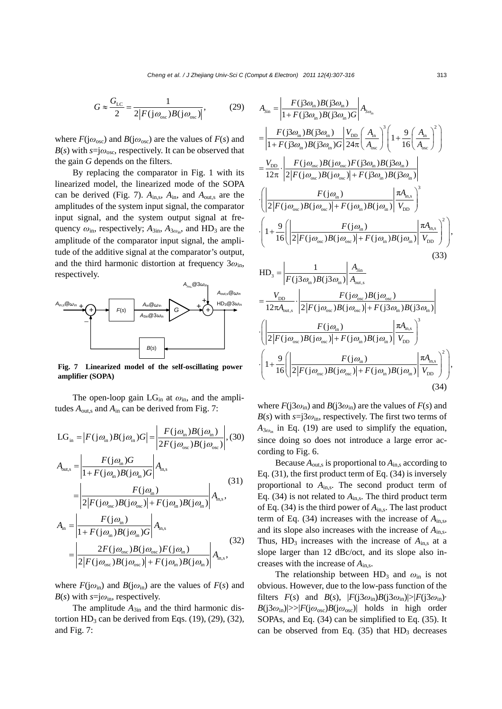$$
G \approx \frac{G_{\rm LC}}{2} = \frac{1}{2|F(j\omega_{\rm osc})B(j\omega_{\rm osc})|},\tag{29}
$$

where  $F(j\omega_{osc})$  and  $B(j\omega_{osc})$  are the values of  $F(s)$  and  $B(s)$  with  $s = j\omega_{osc}$ , respectively. It can be observed that the gain *G* depends on the filters.

By replacing the comparator in Fig. 1 with its linearized model, the linearized mode of the SOPA can be derived (Fig. 7).  $A_{\text{in},s}$ ,  $A_{\text{in}}$ , and  $A_{\text{out},s}$  are the amplitudes of the system input signal, the comparator input signal, and the system output signal at frequency  $\omega_{\text{in}}$ , respectively;  $A_{3\text{in}}$ ,  $A_{3\omega_{\text{in}}}$ , and HD<sub>3</sub> are the amplitude of the comparator input signal, the amplitude of the additive signal at the comparator's output, and the third harmonic distortion at frequency 3*ω*in, respectively.



**Fig. 7 Linearized model of the self-oscillating power amplifier (SOPA)** 

The open-loop gain  $LG_{in}$  at  $\omega_{in}$ , and the amplitudes  $A_{\text{out,s}}$  and  $A_{\text{in}}$  can be derived from Fig. 7:

$$
LG_{\text{in}} = |F(j\omega_{\text{in}})B(j\omega_{\text{in}})G| = \left|\frac{F(j\omega_{\text{in}})B(j\omega_{\text{in}})}{2F(j\omega_{\text{osc}})B(j\omega_{\text{osc}})}\right|, (30)
$$
  
\n
$$
A_{\text{out,s}} = \left|\frac{F(j\omega_{\text{in}})G}{1 + F(j\omega_{\text{in}})B(j\omega_{\text{in}})G}\right| A_{\text{n,s}} \qquad (31)
$$
  
\n
$$
= \left|\frac{F(j\omega_{\text{in}})}{2|F(j\omega_{\text{osc}})B(j\omega_{\text{osc}})| + F(j\omega_{\text{in}})B(j\omega_{\text{in}})}\right| A_{\text{n,s}}, (31)
$$
  
\n
$$
A_{\text{in}} = \left|\frac{F(j\omega_{\text{in}})}{1 + F(j\omega_{\text{in}})B(j\omega_{\text{in}})G}\right| A_{\text{n,s}} \qquad (32)
$$
  
\n
$$
= \left|\frac{2F(j\omega_{\text{osc}})B(j\omega_{\text{osc}})F(j\omega_{\text{in}})}{2|F(j\omega_{\text{osc}})B(j\omega_{\text{osc}})| + F(j\omega_{\text{in}})B(j\omega_{\text{in}})}\right| A_{\text{n,s}}, (32)
$$

where  $F(j\omega_{\rm in})$  and  $B(j\omega_{\rm in})$  are the values of  $F(s)$  and  $B(s)$  with  $s = j\omega_{\text{in}}$ , respectively.

The amplitude  $A_{3in}$  and the third harmonic distortion  $HD_3$  can be derived from Eqs. (19), (29), (32), and Fig. 7:

$$
A_{\rm sin} = \left| \frac{F(j3\omega_{\rm in})B(j3\omega_{\rm in})}{1 + F(j3\omega_{\rm in})B(j3\omega_{\rm in})G} \right| A_{\rm 3\omega_{\rm in}} \n= \left| \frac{F(j3\omega_{\rm in})B(j3\omega_{\rm in})}{1 + F(j3\omega_{\rm in})B(j3\omega_{\rm in})G} \right| \frac{V_{\rm DD}}{24\pi} \left( \frac{A_{\rm in}}{A_{\rm osc}} \right)^{3} \left( 1 + \frac{9}{16} \left( \frac{A_{\rm in}}{A_{\rm osc}} \right)^{2} \right) \n= \frac{V_{\rm DD}}{12\pi} \cdot \left| \frac{F(j\omega_{\rm osc})B(j\omega_{\rm osc})F(j3\omega_{\rm in})B(j3\omega_{\rm in})}{2|F(j\omega_{\rm osc})B(j\omega_{\rm osc})| + F(j3\omega_{\rm in})B(j3\omega_{\rm in})} \right| \n\cdot \left( \left| \frac{F(j\omega_{\rm in})}{2|F(j\omega_{\rm osc})B(j\omega_{\rm osc})| + F(j\omega_{\rm in})B(j\omega_{\rm in})} \right| \frac{\pi A_{\rm in,s}}{V_{\rm DD}} \right)^{3} \n\cdot \left( 1 + \frac{9}{16} \left( \left| \frac{F(j\omega_{\rm in})}{2|F(j\omega_{\rm osc})B(j\omega_{\rm osc})| + F(j\omega_{\rm in})B(j\omega_{\rm in})} \right| \frac{\pi A_{\rm in,s}}{V_{\rm DD}} \right)^{2} \right), \tag{33}
$$
\n
$$
HD_{3} = \left| \frac{1}{F(j3\omega_{\rm in})B(j3\omega_{\rm in})} \right| \frac{A_{\rm 3in}}{A_{\rm out,s}} \n= \frac{V_{\rm DD}}{12\pi A_{\rm out,s}} \cdot \left| \frac{F(j\omega_{\rm osc})B(j\omega_{\rm osc})| + F(j3\omega_{\rm in})B(j3\omega_{\rm in})}{2|F(j\omega_{\rm osc})B(j\omega_{\rm osc})| + F(j3\omega_{\rm in})B(j3\omega_{\rm in})} \right| \frac{\pi A_{\rm in,s}}{V_{\rm DD}} \right)^{3}
$$
\n
$$
\cdot \left
$$

where  $F(j3\omega_{\rm in})$  and  $B(j3\omega_{\rm in})$  are the values of  $F(s)$  and  $B(s)$  with  $s = j3\omega_{\text{in}}$ , respectively. The first two terms of  $A_{3\omega_{in}}$  in Eq. (19) are used to simplify the equation, since doing so does not introduce a large error according to Fig. 6.

Because  $A_{\text{out},s}$  is proportional to  $A_{\text{in},s}$  according to Eq. (31), the first product term of Eq. (34) is inversely proportional to *A*in,s. The second product term of Eq. (34) is not related to *A*in,s. The third product term of Eq. (34) is the third power of  $A_{\text{in},s}$ . The last product term of Eq. (34) increases with the increase of *A*in,s, and its slope also increases with the increase of *A*in,s. Thus,  $HD_3$  increases with the increase of  $A_{\text{in},s}$  at a slope larger than 12 dBc/oct, and its slope also increases with the increase of *A*in,s.

The relationship between  $HD_3$  and  $\omega_{in}$  is not obvious. However, due to the low-pass function of the filters  $F(s)$  and  $B(s)$ ,  $|F(i3\omega_{\rm in})B(i3\omega_{\rm in})| > |F(i3\omega_{\rm in})\cdot|$  $B(j3\omega_{\text{in}})|\gg|F(j\omega_{\text{osc}})B(j\omega_{\text{osc}})|$  holds in high order SOPAs, and Eq. (34) can be simplified to Eq. (35). It can be observed from Eq.  $(35)$  that HD<sub>3</sub> decreases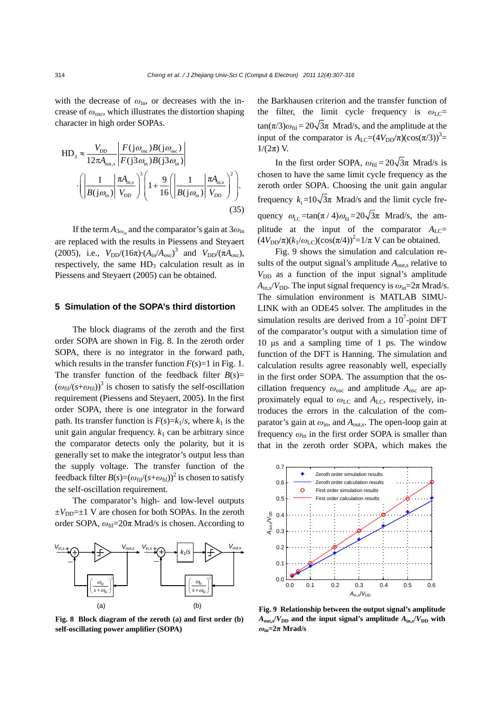with the decrease of  $\omega_{\rm in}$ , or decreases with the increase of *ω*osc, which illustrates the distortion shaping character in high order SOPAs.

HD<sub>3</sub> 
$$
\approx \frac{V_{\text{DD}}}{12\pi A_{\text{out,s}}}\left|\frac{F(j\omega_{\text{osc}})B(j\omega_{\text{osc}})}{F(j3\omega_{\text{in}})B(j3\omega_{\text{in}})}\right|
$$
  

$$
\cdot \left(\left|\frac{1}{B(j\omega_{\text{in}})}\right|\frac{\pi A_{\text{in,s}}}{V_{\text{DD}}}\right)^3 \left(1 + \frac{9}{16}\left(\left|\frac{1}{B(j\omega_{\text{in}})}\right|\frac{\pi A_{\text{in,s}}}{V_{\text{DD}}}\right)^2\right).
$$
(35)

If the term  $A_{3\omega_{\text{in}}}$  and the comparator's gain at  $3\omega_{\text{in}}$ are replaced with the results in Piessens and Steyaert (2005), i.e.,  $V_{DD}/(16\pi) \cdot (A_{in}/A_{osc})^3$  and  $V_{DD}/(\pi A_{osc})$ , respectively, the same  $HD_3$  calculation result as in Piessens and Steyaert (2005) can be obtained.

#### **5 Simulation of the SOPA's third distortion**

The block diagrams of the zeroth and the first order SOPA are shown in Fig. 8. In the zeroth order SOPA, there is no integrator in the forward path, which results in the transfer function  $F(s)=1$  in Fig. 1. The transfer function of the feedback filter  $B(s)$ =  $(\omega_{\text{fil}}/(s+\omega_{\text{fil}}))^3$  is chosen to satisfy the self-oscillation requirement (Piessens and Steyaert, 2005). In the first order SOPA, there is one integrator in the forward path. Its transfer function is  $F(s)=k<sub>1</sub>/s$ , where  $k<sub>1</sub>$  is the unit gain angular frequency.  $k_1$  can be arbitrary since the comparator detects only the polarity, but it is generally set to make the integrator's output less than the supply voltage. The transfer function of the feedback filter  $B(s)=(\omega_{\text{fil}}/(s+\omega_{\text{fil}}))^2$  is chosen to satisfy the self-oscillation requirement.

The comparator's high- and low-level outputs  $\pm V_{\text{DD}}=\pm 1$  V are chosen for both SOPAs. In the zeroth order SOPA,  $ω_{\text{fil}}=20π$  Mrad/s is chosen. According to



**Fig. 8 Block diagram of the zeroth (a) and first order (b) self-oscillating power amplifier (SOPA)** 

the Barkhausen criterion and the transfer function of the filter, the limit cycle frequency is  $\omega_{\text{LC}}$ =  $\tan(\pi/3)\omega_{\text{fil}} = 20\sqrt{3}\pi$  Mrad/s, and the amplitude at the input of the comparator is  $A_{\text{LC}} = (4V_{\text{DD}}/\pi)(\cos(\pi/3))^3$ =  $1/(2π)$  V.

In the first order SOPA,  $\omega_{\text{fil}} = 20\sqrt{3}\pi$  Mrad/s is chosen to have the same limit cycle frequency as the zeroth order SOPA. Choosing the unit gain angular frequency  $k_1=10\sqrt{3}\pi$  Mrad/s and the limit cycle frequency  $\omega_{\text{LC}} = \tan(\pi/4) \omega_{\text{fil}} = 20\sqrt{3}\pi$  Mrad/s, the amplitude at the input of the comparator  $A_{\text{LC}}$ =  $(4V_{\text{DD}}/\pi)(k_1/\omega_{\text{LC}})(\cos(\pi/4))^2 = 1/\pi \text{ V}$  can be obtained.

Fig. 9 shows the simulation and calculation results of the output signal's amplitude  $A_{\text{out},s}$  relative to  $V_{DD}$  as a function of the input signal's amplitude  $A_{\text{in},s}/V_{\text{DD}}$ . The input signal frequency is  $\omega_{\text{in}}=2\pi \text{ Mrad/s}$ . The simulation environment is MATLAB SIMU-LINK with an ODE45 solver. The amplitudes in the simulation results are derived from a  $10<sup>7</sup>$ -point DFT of the comparator's output with a simulation time of 10 μs and a sampling time of 1 ps. The window function of the DFT is Hanning. The simulation and calculation results agree reasonably well, especially in the first order SOPA. The assumption that the oscillation frequency *ω*osc and amplitude *A*osc are approximately equal to  $ω$ <sub>LC</sub> and  $A$ <sub>LC</sub>, respectively, introduces the errors in the calculation of the comparator's gain at *ω*in, and *A*out,s. The open-loop gain at frequency *ω*in in the first order SOPA is smaller than that in the zeroth order SOPA, which makes the



**Fig. 9 Relationship between the output signal's amplitude**   $A_{\text{out,s}}/V_{\text{DD}}$  and the input signal's amplitude  $A_{\text{in,s}}/V_{\text{DD}}$  with  $ω$ <sub>in</sub>= $2π$  Mrad/s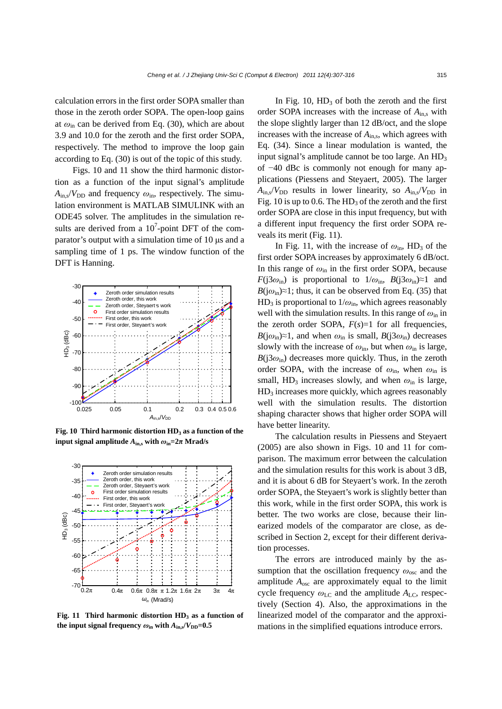calculation errors in the first order SOPA smaller than those in the zeroth order SOPA. The open-loop gains at  $\omega_{\rm in}$  can be derived from Eq. (30), which are about 3.9 and 10.0 for the zeroth and the first order SOPA, respectively. The method to improve the loop gain according to Eq. (30) is out of the topic of this study.

Figs. 10 and 11 show the third harmonic distortion as a function of the input signal's amplitude  $A_{\text{in,s}}/V_{\text{DD}}$  and frequency  $\omega_{\text{in}}$ , respectively. The simulation environment is MATLAB SIMULINK with an ODE45 solver. The amplitudes in the simulation results are derived from a  $10^7$ -point DFT of the comparator's output with a simulation time of 10 μs and a sampling time of 1 ps. The window function of the DFT is Hanning.



Fig. 10 Third harmonic distortion HD<sub>3</sub> as a function of the **input signal amplitude**  $A_{\text{in},s}$  with  $\omega_{\text{in}} = 2\pi$  Mrad/s



Fig. 11 Third harmonic distortion HD<sub>3</sub> as a function of **the input signal frequency**  $\omega_{\rm in}$  **with**  $A_{\rm in}$  $\sqrt{V_{\rm DD}}=0.5$ 

In Fig. 10,  $HD_3$  of both the zeroth and the first order SOPA increases with the increase of  $A_{\text{in},s}$  with the slope slightly larger than 12 dB/oct, and the slope increases with the increase of  $A_{\text{in},s}$ , which agrees with Eq. (34). Since a linear modulation is wanted, the input signal's amplitude cannot be too large. An  $HD<sub>3</sub>$ of −40 dBc is commonly not enough for many applications (Piessens and Steyaert, 2005). The larger  $A_{in,s}/V_{DD}$  results in lower linearity, so  $A_{in,s}/V_{DD}$  in Fig. 10 is up to 0.6. The  $HD_3$  of the zeroth and the first order SOPA are close in this input frequency, but with a different input frequency the first order SOPA reveals its merit (Fig. 11).

In Fig. 11, with the increase of  $\omega_{\rm in}$ , HD<sub>3</sub> of the first order SOPA increases by approximately 6 dB/oct. In this range of  $\omega_{\rm in}$  in the first order SOPA, because *F*( $j3\omega_{\text{in}}$ ) is proportional to  $1/\omega_{\text{in}}$ , *B*( $j3\omega_{\text{in}}$ )≈1 and  $B(j\omega_{\rm in}) \approx 1$ ; thus, it can be observed from Eq. (35) that  $HD_3$  is proportional to  $1/\omega_{\text{in}}$ , which agrees reasonably well with the simulation results. In this range of *ω*in in the zeroth order SOPA,  $F(s)=1$  for all frequencies, *B*( $j\omega_{\text{in}}$ )≈1, and when  $\omega_{\text{in}}$  is small, *B*( $j3\omega_{\text{in}}$ ) decreases slowly with the increase of  $\omega_{\rm in}$ , but when  $\omega_{\rm in}$  is large,  $B(j3\omega_{\rm in})$  decreases more quickly. Thus, in the zeroth order SOPA, with the increase of  $\omega_{\text{in}}$ , when  $\omega_{\text{in}}$  is small,  $HD_3$  increases slowly, and when  $\omega_{\text{in}}$  is large,  $HD<sub>3</sub>$  increases more quickly, which agrees reasonably well with the simulation results. The distortion shaping character shows that higher order SOPA will have better linearity.

The calculation results in Piessens and Steyaert (2005) are also shown in Figs. 10 and 11 for comparison. The maximum error between the calculation and the simulation results for this work is about 3 dB, and it is about 6 dB for Steyaert's work. In the zeroth order SOPA, the Steyaert's work is slightly better than this work, while in the first order SOPA, this work is better. The two works are close, because their linearized models of the comparator are close, as described in Section 2, except for their different derivation processes.

The errors are introduced mainly by the assumption that the oscillation frequency *ω*osc and the amplitude *A*osc are approximately equal to the limit cycle frequency  $ω$ <sub>LC</sub> and the amplitude  $A$ <sub>LC</sub>, respectively (Section 4). Also, the approximations in the linearized model of the comparator and the approximations in the simplified equations introduce errors.